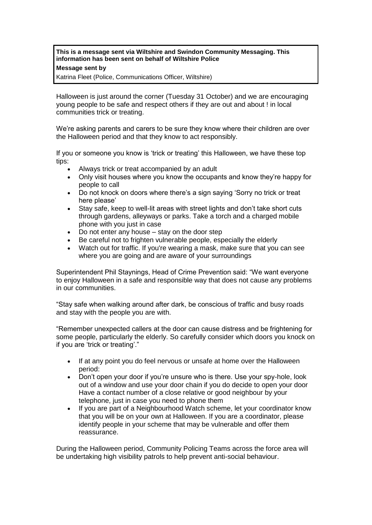**This is a message sent via Wiltshire and Swindon Community Messaging. This information has been sent on behalf of Wiltshire Police**

## **Message sent by**

Katrina Fleet (Police, Communications Officer, Wiltshire)

Halloween is just around the corner (Tuesday 31 October) and we are encouraging young people to be safe and respect others if they are out and about ! in local communities trick or treating.

We're asking parents and carers to be sure they know where their children are over the Halloween period and that they know to act responsibly.

If you or someone you know is 'trick or treating' this Halloween, we have these top tips:

- Always trick or treat accompanied by an adult
- Only visit houses where you know the occupants and know they're happy for people to call
- Do not knock on doors where there's a sign saying 'Sorry no trick or treat here please'
- Stay safe, keep to well-lit areas with street lights and don't take short cuts through gardens, alleyways or parks. Take a torch and a charged mobile phone with you just in case
- Do not enter any house  $-$  stay on the door step
- Be careful not to frighten vulnerable people, especially the elderly
- Watch out for traffic. If you're wearing a mask, make sure that you can see where you are going and are aware of your surroundings

Superintendent Phil Staynings, Head of Crime Prevention said: "We want everyone to enjoy Halloween in a safe and responsible way that does not cause any problems in our communities.

"Stay safe when walking around after dark, be conscious of traffic and busy roads and stay with the people you are with.

"Remember unexpected callers at the door can cause distress and be frightening for some people, particularly the elderly. So carefully consider which doors you knock on if you are 'trick or treating'."

- If at any point you do feel nervous or unsafe at home over the Halloween period:
- Don't open your door if you're unsure who is there. Use your spy-hole, look out of a window and use your door chain if you do decide to open your door Have a contact number of a close relative or good neighbour by your telephone, just in case you need to phone them
- If you are part of a Neighbourhood Watch scheme, let your coordinator know that you will be on your own at Halloween. If you are a coordinator, please identify people in your scheme that may be vulnerable and offer them reassurance.

During the Halloween period, Community Policing Teams across the force area will be undertaking high visibility patrols to help prevent anti-social behaviour.